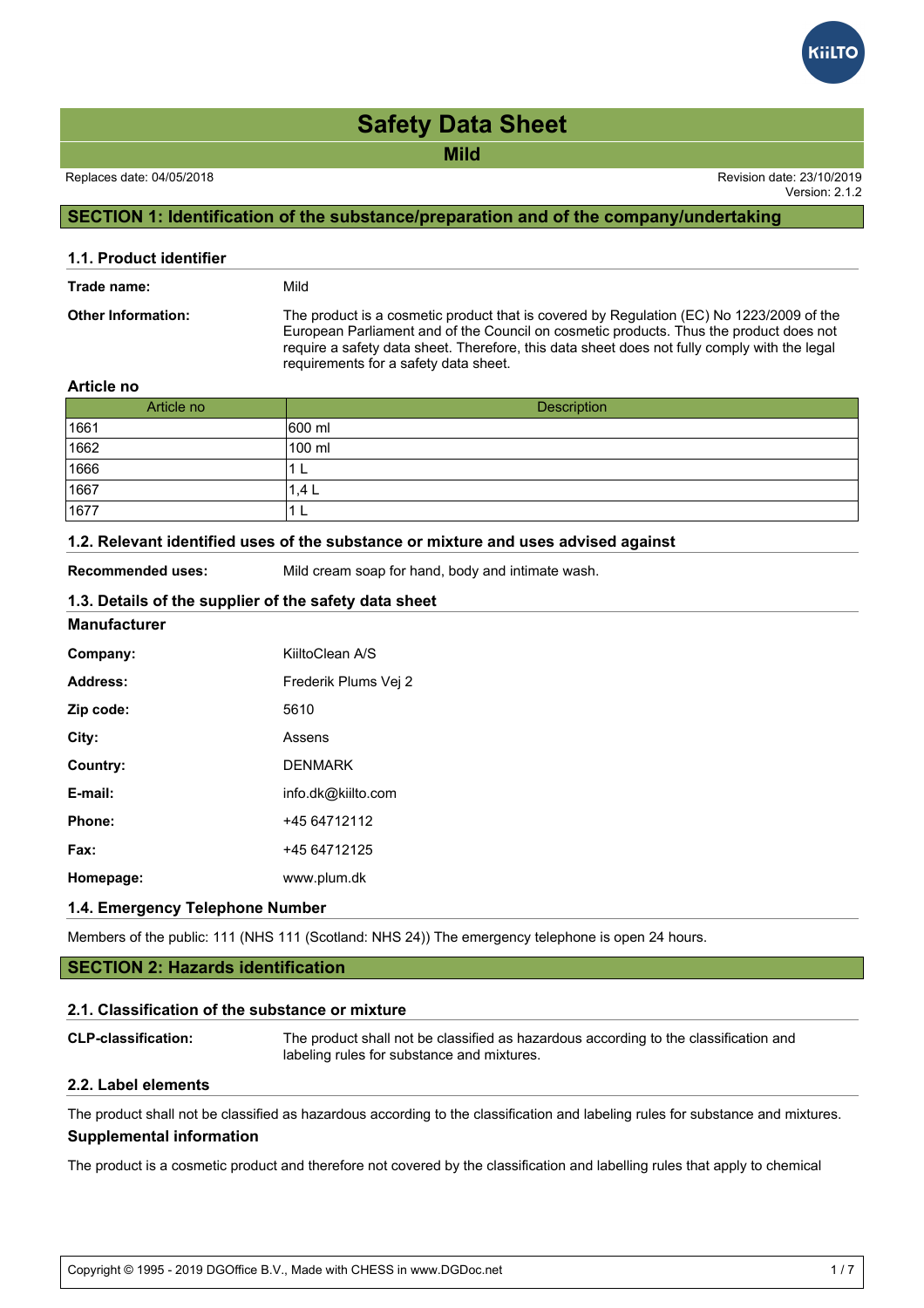**Mild**

Version: 2.1.2

## **SECTION 1: Identification of the substance/preparation and of the company/undertaking**

| 1.1. Product identifier   |                                                                                                                                                                                                                                                                                                                             |
|---------------------------|-----------------------------------------------------------------------------------------------------------------------------------------------------------------------------------------------------------------------------------------------------------------------------------------------------------------------------|
| Trade name:               | Mild                                                                                                                                                                                                                                                                                                                        |
| <b>Other Information:</b> | The product is a cosmetic product that is covered by Regulation (EC) No 1223/2009 of the<br>European Parliament and of the Council on cosmetic products. Thus the product does not<br>require a safety data sheet. Therefore, this data sheet does not fully comply with the legal<br>requirements for a safety data sheet. |

### **Article no**

| Article no | Description |
|------------|-------------|
| 1661       | 600 ml      |
| 1662       | 100 ml      |
| 1666       |             |
| 1667       | .4 L        |
| 1677       | −           |

### **1.2. Relevant identified uses of the substance or mixture and uses advised against**

**Recommended uses:** Mild cream soap for hand, body and intimate wash.

### **1.3. Details of the supplier of the safety data sheet**

### **Manufacturer**

| Company:  | KiiltoClean A/S      |
|-----------|----------------------|
| Address:  | Frederik Plums Vei 2 |
| Zip code: | 5610                 |
| City:     | Assens               |
| Country:  | <b>DENMARK</b>       |
| E-mail:   | info.dk@kiilto.com   |
| Phone:    | +45 64712112         |
| Fax:      | +45 64712125         |
| Homepage: | www.plum.dk          |
|           |                      |

## **1.4. Emergency Telephone Number**

Members of the public: 111 (NHS 111 (Scotland: NHS 24)) The emergency telephone is open 24 hours.

## **SECTION 2: Hazards identification**

### **2.1. Classification of the substance or mixture**

**CLP-classification:** The product shall not be classified as hazardous according to the classification and labeling rules for substance and mixtures.

### **2.2. Label elements**

The product shall not be classified as hazardous according to the classification and labeling rules for substance and mixtures. **Supplemental information**

The product is a cosmetic product and therefore not covered by the classification and labelling rules that apply to chemical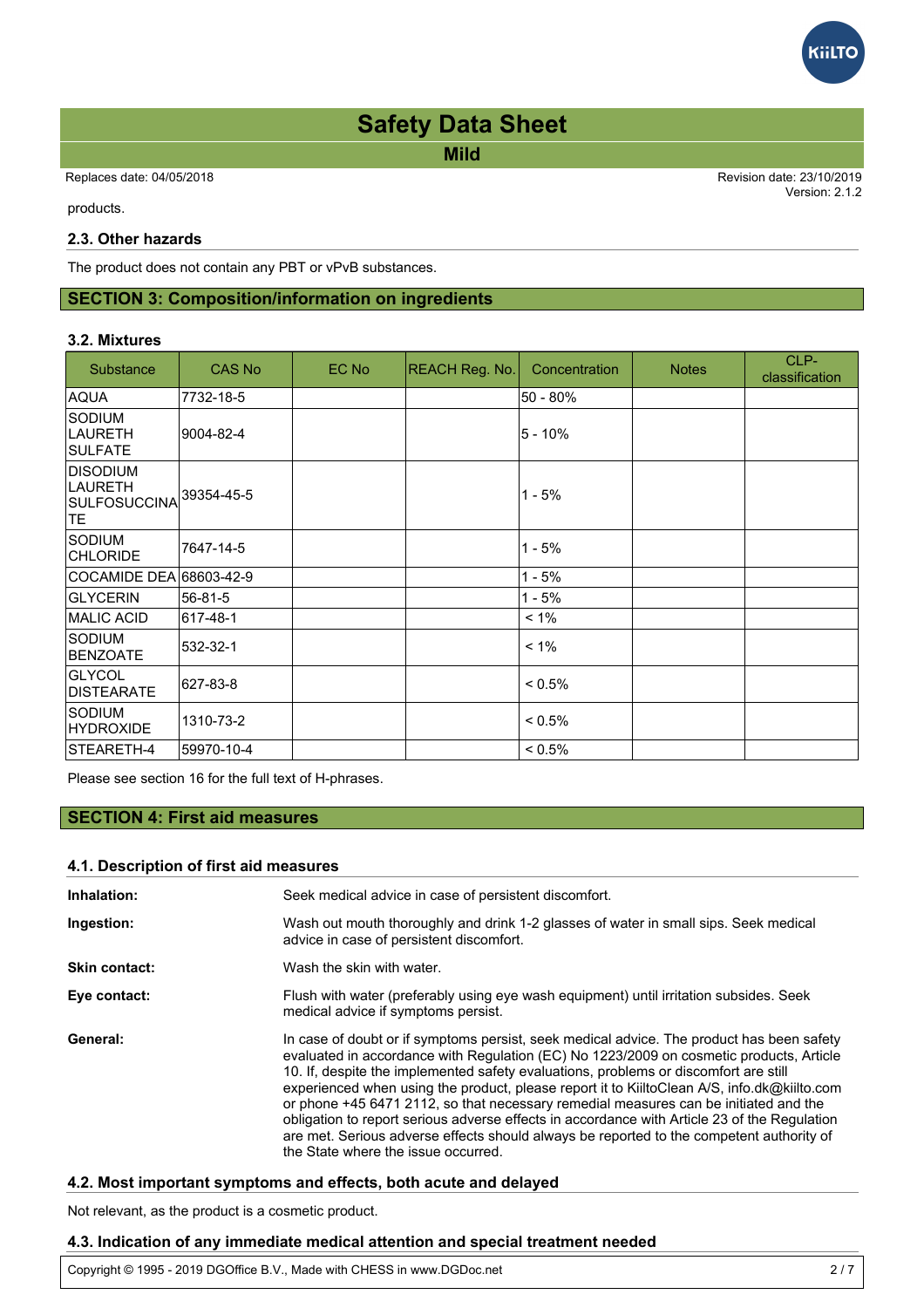**Mild**

Replaces date: 04/05/2018 Revision date: 23/10/2019

Version: 2.1.2 The product and therefore not covered by the covered by the classification and labelling rules that apply to chemical by the chemical rules that apply to chemical rules that apply to chemical rules that apply to chemical

products.

### **2.3. Other hazards**

The product does not contain any PBT or vPvB substances.

## **SECTION 3: Composition/information on ingredients**

### **3.2. Mixtures**

| Substance                                                | CAS No     | EC No | <b>REACH Reg. No.</b> | Concentration | <b>Notes</b> | CLP-<br>classification |
|----------------------------------------------------------|------------|-------|-----------------------|---------------|--------------|------------------------|
| AQUA                                                     | 7732-18-5  |       |                       | $50 - 80%$    |              |                        |
| <b>SODIUM</b><br><b>LAURETH</b><br>ISULFATE              | 9004-82-4  |       |                       | $5 - 10%$     |              |                        |
| <b>DISODIUM</b><br><b>LAURETH</b><br> SULFOSUCCINA<br>TE | 39354-45-5 |       |                       | $1 - 5%$      |              |                        |
| <b>SODIUM</b><br><b>CHLORIDE</b>                         | 7647-14-5  |       |                       | $1 - 5%$      |              |                        |
| COCAMIDE DEA 68603-42-9                                  |            |       |                       | $1 - 5%$      |              |                        |
| <b>GLYCERIN</b>                                          | 56-81-5    |       |                       | $1 - 5%$      |              |                        |
| <b>IMALIC ACID</b>                                       | 617-48-1   |       |                       | $< 1\%$       |              |                        |
| <b>SODIUM</b><br><b>BENZOATE</b>                         | 532-32-1   |       |                       | $< 1\%$       |              |                        |
| <b>GLYCOL</b><br><b>IDISTEARATE</b>                      | 627-83-8   |       |                       | $< 0.5\%$     |              |                        |
| Sodium<br><b>HYDROXIDE</b>                               | 1310-73-2  |       |                       | $< 0.5\%$     |              |                        |
| <b>STEARETH-4</b>                                        | 59970-10-4 |       |                       | $< 0.5\%$     |              |                        |

Please see section 16 for the full text of H-phrases.

## **SECTION 4: First aid measures**

### **4.1. Description of first aid measures**

| Inhalation:   | Seek medical advice in case of persistent discomfort.                                                                                                                                                                                                                                                                                                                                                                                                                                                                                                                                                                                                                                                  |
|---------------|--------------------------------------------------------------------------------------------------------------------------------------------------------------------------------------------------------------------------------------------------------------------------------------------------------------------------------------------------------------------------------------------------------------------------------------------------------------------------------------------------------------------------------------------------------------------------------------------------------------------------------------------------------------------------------------------------------|
| Ingestion:    | Wash out mouth thoroughly and drink 1-2 glasses of water in small sips. Seek medical<br>advice in case of persistent discomfort.                                                                                                                                                                                                                                                                                                                                                                                                                                                                                                                                                                       |
| Skin contact: | Wash the skin with water.                                                                                                                                                                                                                                                                                                                                                                                                                                                                                                                                                                                                                                                                              |
| Eye contact:  | Flush with water (preferably using eye wash equipment) until irritation subsides. Seek<br>medical advice if symptoms persist.                                                                                                                                                                                                                                                                                                                                                                                                                                                                                                                                                                          |
| General:      | In case of doubt or if symptoms persist, seek medical advice. The product has been safety<br>evaluated in accordance with Regulation (EC) No 1223/2009 on cosmetic products, Article<br>10. If, despite the implemented safety evaluations, problems or discomfort are still<br>experienced when using the product, please report it to KiiltoClean A/S, info.dk@kiilto.com<br>or phone +45 6471 2112, so that necessary remedial measures can be initiated and the<br>obligation to report serious adverse effects in accordance with Article 23 of the Regulation<br>are met. Serious adverse effects should always be reported to the competent authority of<br>the State where the issue occurred. |

## **4.2. Most important symptoms and effects, both acute and delayed**

Not relevant, as the product is a cosmetic product.

### **4.3. Indication of any immediate medical attention and special treatment needed**

Copyright © 1995 - 2019 DGOffice B.V., Made with CHESS in www.DGDoc.net 2 / 7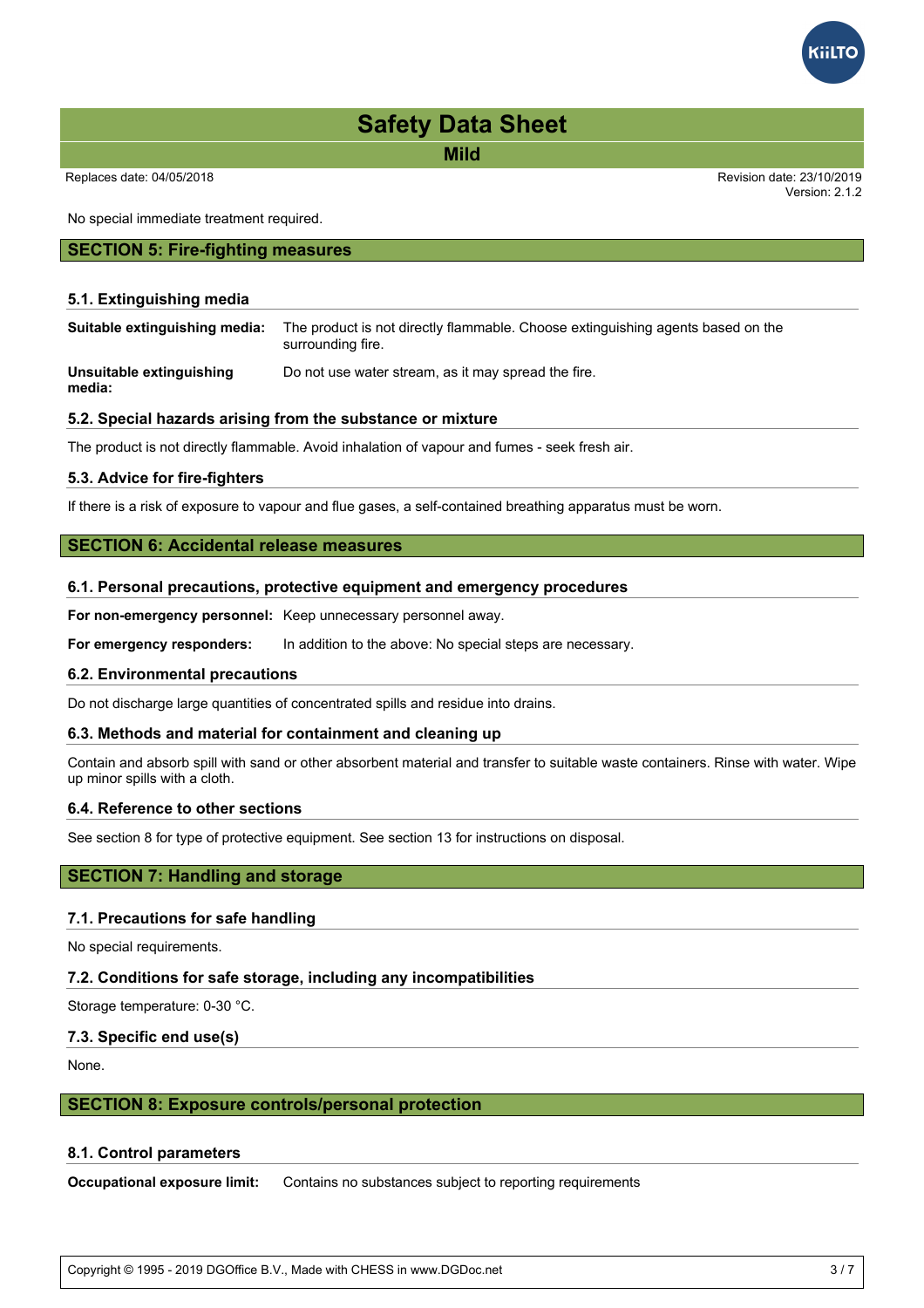**Mild**

No special immediate treatment required.

### **SECTION 5: Fire-fighting measures**

### **5.1. Extinguishing media**

| Suitable extinguishing media: | The product is not directly flammable. Choose extinguishing agents based on the<br>surrounding fire. |
|-------------------------------|------------------------------------------------------------------------------------------------------|
| Unsuitable extinguishing      | Do not use water stream, as it may spread the fire.                                                  |

**media:**

### **5.2. Special hazards arising from the substance or mixture**

The product is not directly flammable. Avoid inhalation of vapour and fumes - seek fresh air.

### **5.3. Advice for fire-fighters**

If there is a risk of exposure to vapour and flue gases, a self-contained breathing apparatus must be worn.

### **SECTION 6: Accidental release measures**

#### **6.1. Personal precautions, protective equipment and emergency procedures**

**For non-emergency personnel:** Keep unnecessary personnel away.

**For emergency responders:** In addition to the above: No special steps are necessary.

### **6.2. Environmental precautions**

Do not discharge large quantities of concentrated spills and residue into drains.

### **6.3. Methods and material for containment and cleaning up**

Contain and absorb spill with sand or other absorbent material and transfer to suitable waste containers. Rinse with water. Wipe up minor spills with a cloth.

### **6.4. Reference to other sections**

See section 8 for type of protective equipment. See section 13 for instructions on disposal.

## **SECTION 7: Handling and storage**

### **7.1. Precautions for safe handling**

No special requirements.

### **7.2. Conditions for safe storage, including any incompatibilities**

Storage temperature: 0-30 °C.

### **7.3. Specific end use(s)**

None.

### **SECTION 8: Exposure controls/personal protection**

### **8.1. Control parameters**

**Occupational exposure limit:** Contains no substances subject to reporting requirements

Copyright © 1995 - 2019 DGOffice B.V., Made with CHESS in www.DGDoc.net 3 / 7



Version: 2.1.2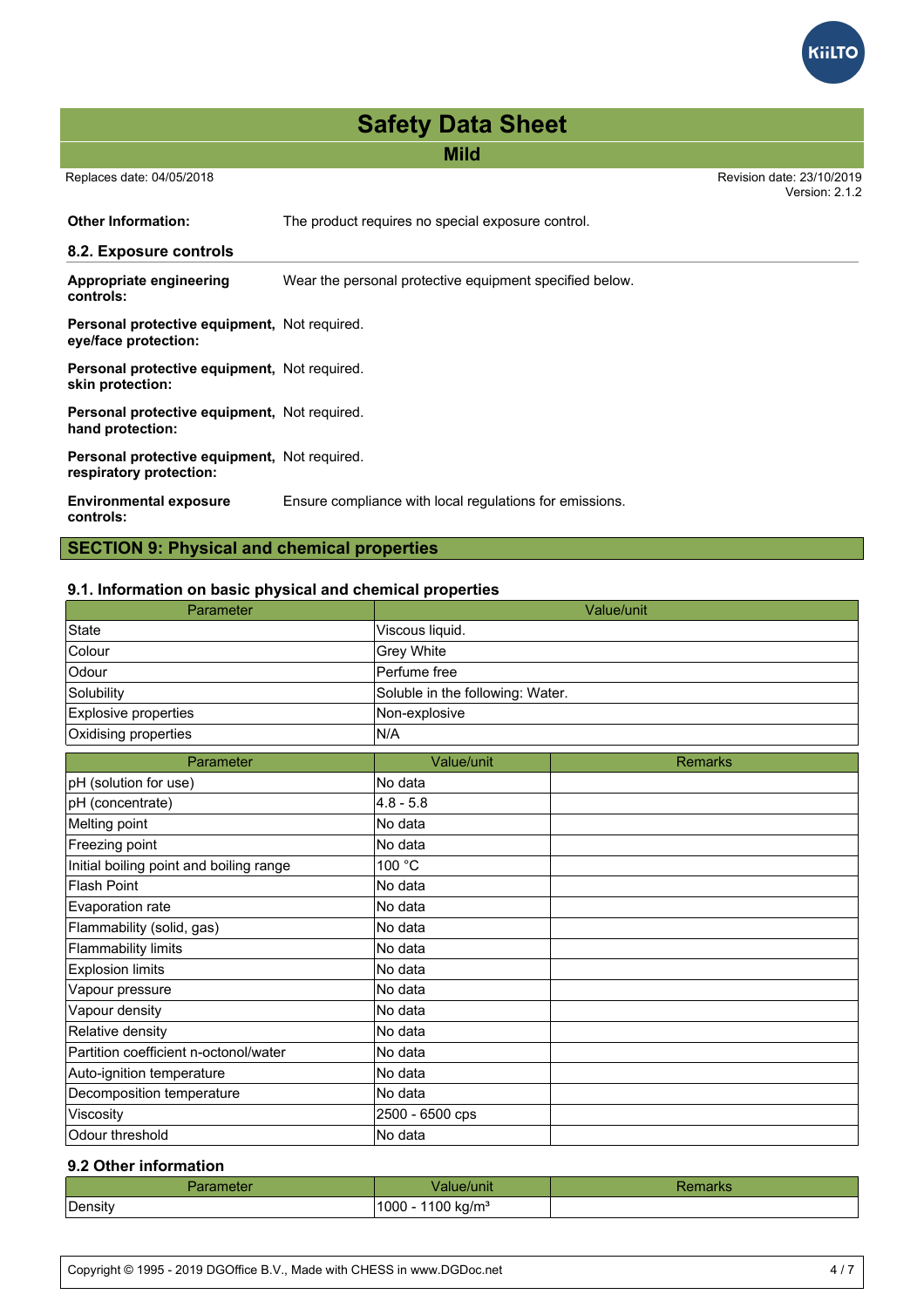**Mild**

Replaces date: 04/05/2018 Revision date: 23/10/2019

Version: 2.1.2

**GiltTC** 

**Other Information:** The product requires no special exposure control. **8.2. Exposure controls Appropriate engineering controls:** Wear the personal protective equipment specified below. **Personal protective equipment,** Not required. **eye/face protection: Personal protective equipment,** Not required. **skin protection: Personal protective equipment,** Not required. **hand protection: Personal protective equipment,** Not required. **respiratory protection: Environmental exposure controls:** Ensure compliance with local regulations for emissions.

**SECTION 9: Physical and chemical properties**

### **9.1. Information on basic physical and chemical properties**

| Parameter                               |                                  | Value/unit     |  |
|-----------------------------------------|----------------------------------|----------------|--|
| <b>State</b>                            | Viscous liquid.                  |                |  |
| Colour                                  | Grey White                       |                |  |
| Odour                                   | Perfume free                     |                |  |
| Solubility                              | Soluble in the following: Water. |                |  |
| Explosive properties                    | Non-explosive                    |                |  |
| Oxidising properties                    | N/A                              |                |  |
| Parameter                               | Value/unit                       | <b>Remarks</b> |  |
| pH (solution for use)                   | No data                          |                |  |
| pH (concentrate)                        | $4.8 - 5.8$                      |                |  |
| Melting point                           | No data                          |                |  |
| Freezing point                          | No data                          |                |  |
| Initial boiling point and boiling range | 100 °C                           |                |  |
| <b>Flash Point</b>                      | No data                          |                |  |
| Evaporation rate                        | No data                          |                |  |
| Flammability (solid, gas)               | No data                          |                |  |
| <b>Flammability limits</b>              | No data                          |                |  |
| <b>Explosion limits</b>                 | No data                          |                |  |
| Vapour pressure                         | No data                          |                |  |
| Vapour density                          | No data                          |                |  |
| Relative density                        | No data                          |                |  |
| Partition coefficient n-octonol/water   | No data                          |                |  |
| Auto-ignition temperature               | No data                          |                |  |
| Decomposition temperature               | No data                          |                |  |
| Viscosity                               | 2500 - 6500 cps                  |                |  |
| Odour threshold                         | No data                          |                |  |

## **9.2 Other information**

| arameter | Value/unit <sup>.</sup>            | Remarks |
|----------|------------------------------------|---------|
| Density  | 1100 kg/m <sup>3</sup><br>$1000 -$ |         |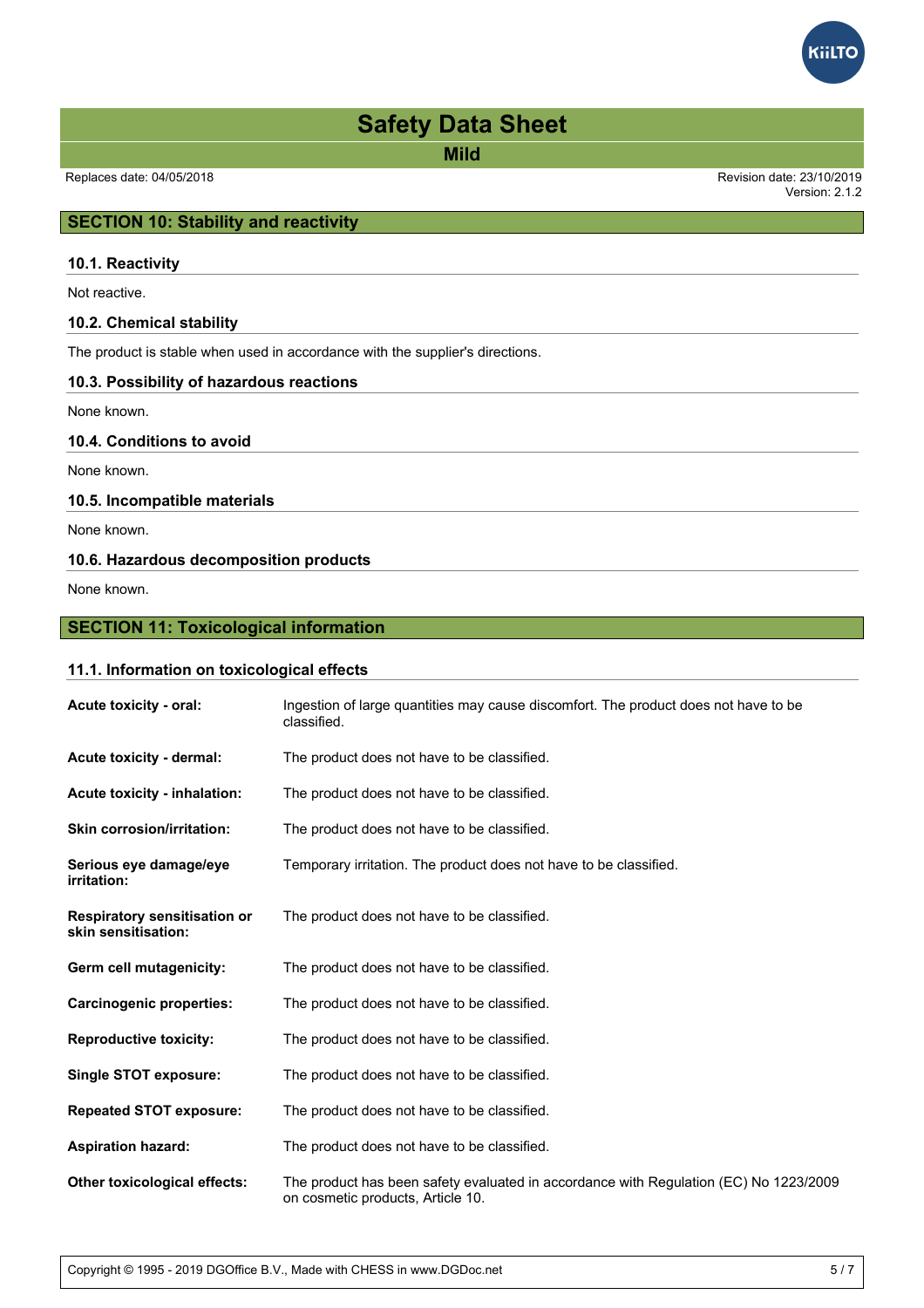**Mild**

Version: 2.1.2

**GilTC** 

## **SECTION 10: Stability and reactivity**

### **10.1. Reactivity**

Not reactive.

### **10.2. Chemical stability**

The product is stable when used in accordance with the supplier's directions.

### **10.3. Possibility of hazardous reactions**

None known.

## **10.4. Conditions to avoid**

None known.

### **10.5. Incompatible materials**

None known.

## **10.6. Hazardous decomposition products**

None known.

## **SECTION 11: Toxicological information**

### **11.1. Information on toxicological effects**

| Acute toxicity - oral:                                     | Ingestion of large quantities may cause discomfort. The product does not have to be<br>classified.                         |
|------------------------------------------------------------|----------------------------------------------------------------------------------------------------------------------------|
| Acute toxicity - dermal:                                   | The product does not have to be classified.                                                                                |
| Acute toxicity - inhalation:                               | The product does not have to be classified.                                                                                |
| <b>Skin corrosion/irritation:</b>                          | The product does not have to be classified.                                                                                |
| Serious eye damage/eye<br>irritation:                      | Temporary irritation. The product does not have to be classified.                                                          |
| <b>Respiratory sensitisation or</b><br>skin sensitisation: | The product does not have to be classified.                                                                                |
| Germ cell mutagenicity:                                    | The product does not have to be classified.                                                                                |
| <b>Carcinogenic properties:</b>                            | The product does not have to be classified.                                                                                |
| <b>Reproductive toxicity:</b>                              | The product does not have to be classified.                                                                                |
| Single STOT exposure:                                      | The product does not have to be classified.                                                                                |
| <b>Repeated STOT exposure:</b>                             | The product does not have to be classified.                                                                                |
| <b>Aspiration hazard:</b>                                  | The product does not have to be classified.                                                                                |
| <b>Other toxicological effects:</b>                        | The product has been safety evaluated in accordance with Regulation (EC) No 1223/2009<br>on cosmetic products, Article 10. |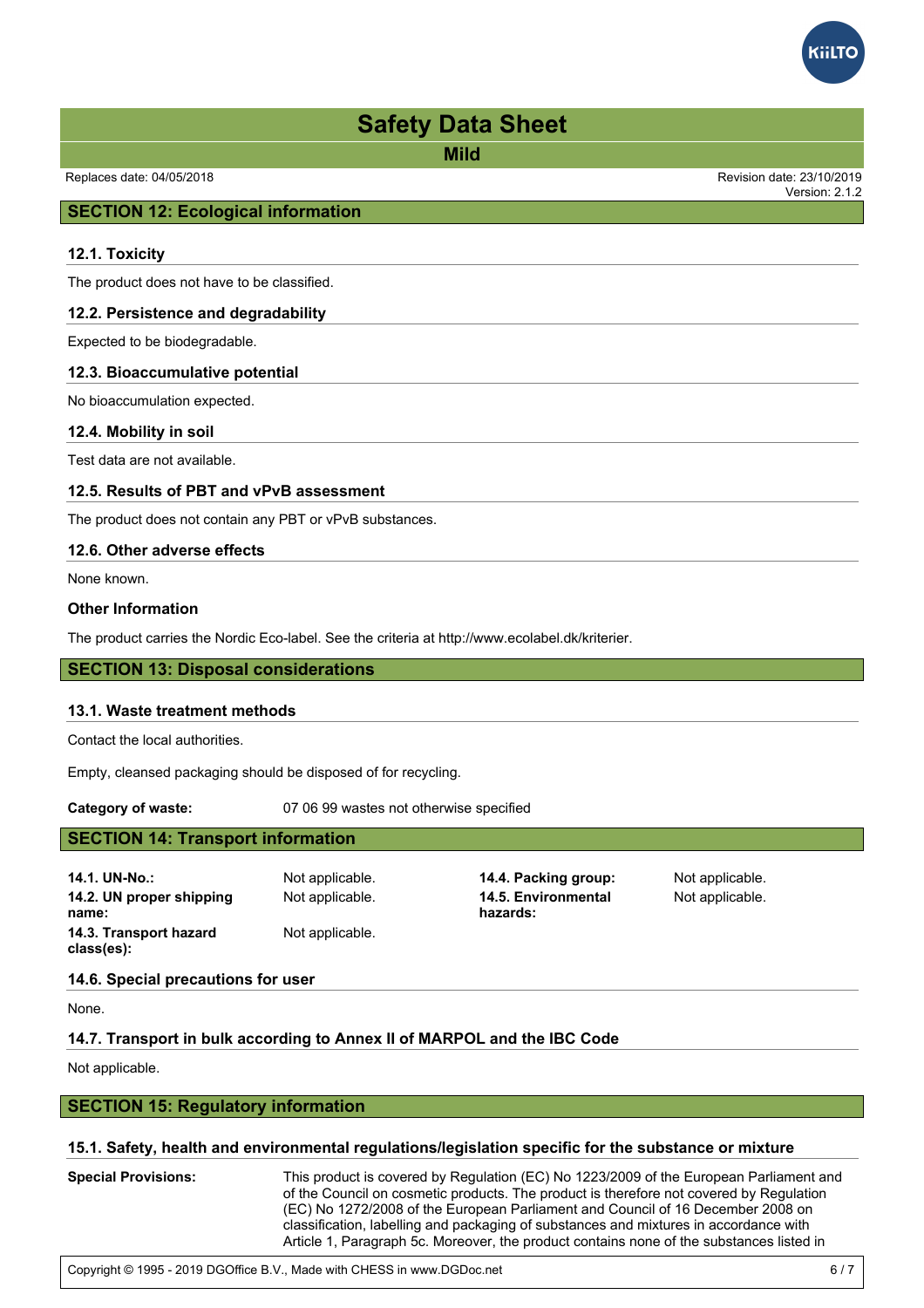**Mild**

Replaces date: 04/05/2018 Revision date: 23/10/2019

## **SECTION 12: Ecological information**

### **12.1. Toxicity**

The product does not have to be classified.

### **12.2. Persistence and degradability**

Expected to be biodegradable.

### **12.3. Bioaccumulative potential**

No bioaccumulation expected.

### **12.4. Mobility in soil**

Test data are not available.

### **12.5. Results of PBT and vPvB assessment**

The product does not contain any PBT or vPvB substances.

### **12.6. Other adverse effects**

None known.

### **Other Information**

The product carries the Nordic Eco-label. See the criteria at http://www.ecolabel.dk/kriterier.

### **SECTION 13: Disposal considerations**

### **13.1. Waste treatment methods**

Contact the local authorities.

Empty, cleansed packaging should be disposed of for recycling.

**Category of waste:** 07 06 99 wastes not otherwise specified

## **SECTION 14: Transport information**

| 14.1. UN-No.:                        | Not applicable. | 14.4. Packing group:            | Not applicable. |
|--------------------------------------|-----------------|---------------------------------|-----------------|
| 14.2. UN proper shipping<br>name:    | Not applicable. | 14.5. Environmental<br>hazards: | Not applicable. |
| 14.3. Transport hazard<br>class(es): | Not applicable. |                                 |                 |

### **14.6. Special precautions for user**

None.

### **14.7. Transport in bulk according to Annex II of MARPOL and the IBC Code**

Not applicable.

### **SECTION 15: Regulatory information**

### **15.1. Safety, health and environmental regulations/legislation specific for the substance or mixture**

**Special Provisions:** This product is covered by Regulation (EC) No 1223/2009 of the European Parliament and of the Council on cosmetic products. The product is therefore not covered by Regulation (EC) No 1272/2008 of the European Parliament and Council of 16 December 2008 on classification, labelling and packaging of substances and mixtures in accordance with Article 1, Paragraph 5c. Moreover, the product contains none of the substances listed in Regulation 1907/2006 EC Article 31, Paragraph 1b) and c) or Paragraph 3 a), b) and c). As

European Parliament and Council of 18 December 2006 concerning the Registration,



Version: 2.1.2